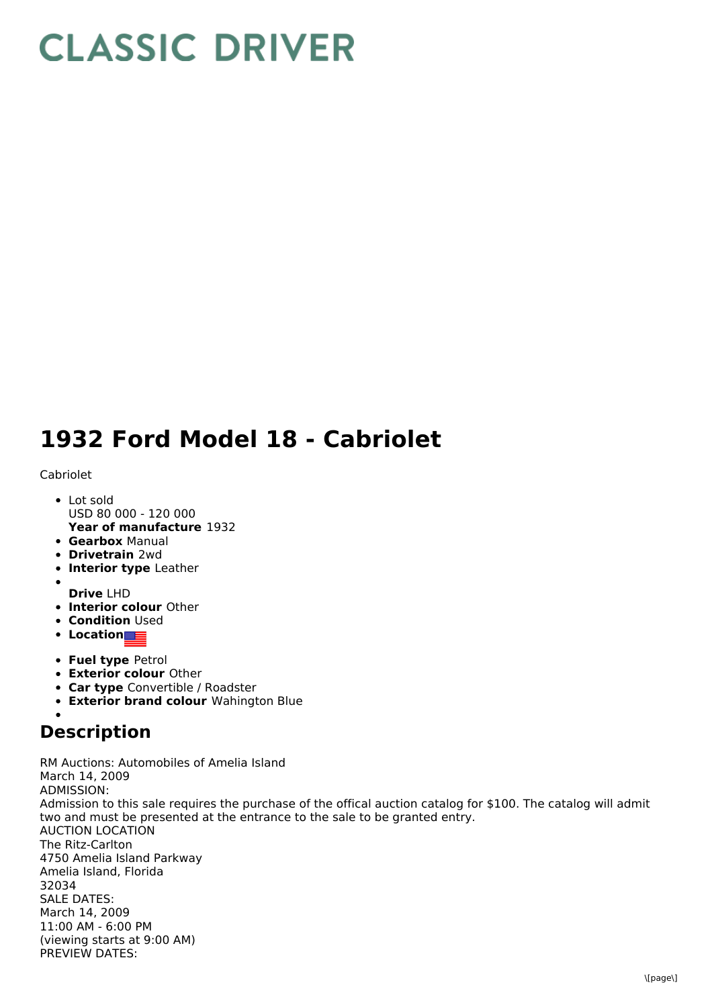## **CLASSIC DRIVER**

## **1932 Ford Model 18 - Cabriolet**

## Cabriolet

- **Year of manufacture** 1932 Lot sold USD 80 000 - 120 000
- **Gearbox** Manual
- **Drivetrain** 2wd
- **Interior type** Leather
- **Drive** LHD
- **Interior colour** Other
- **Condition Used**
- **Location**
- **Fuel type** Petrol
- **Exterior colour** Other
- **Car type** Convertible / Roadster
- **Exterior brand colour** Wahington Blue

## **Description**

RM Auctions: Automobiles of Amelia Island March 14, 2009 ADMISSION: Admission to this sale requires the purchase of the offical auction catalog for \$100. The catalog will admit two and must be presented at the entrance to the sale to be granted entry. AUCTION LOCATION The Ritz-Carlton 4750 Amelia Island Parkway Amelia Island, Florida 32034 SALE DATES: March 14, 2009 11:00 AM - 6:00 PM (viewing starts at 9:00 AM) PREVIEW DATES: